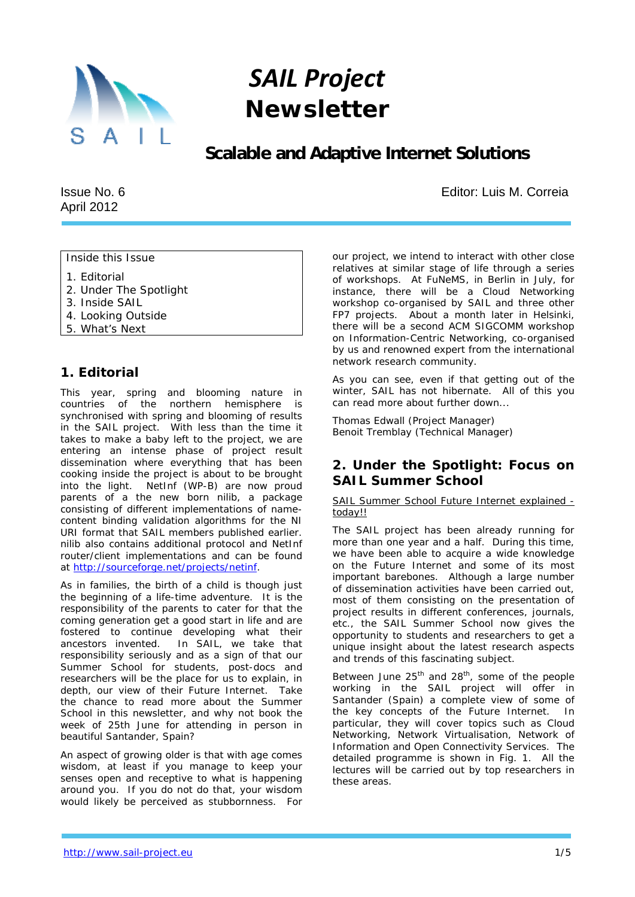

# *SAIL Project Newsletter*

## **Scalable and Adaptive Internet Solutions**

Issue No. 6 April 2012

Editor: Luis M. Correia

Inside this Issue

- 1. Editorial
- 2. Under The Spotlight
- 3. Inside SAIL
- 4. Looking Outside
- 5. What's Next

## *1. Editorial*

This year, spring and blooming nature in countries of the northern hemisphere is synchronised with spring and blooming of results in the SAIL project. With less than the time it takes to make a baby left to the project, we are entering an intense phase of project result dissemination where everything that has been cooking inside the project is about to be brought into the light. NetInf (WP-B) are now proud parents of a the new born *nilib*, a package consisting of different implementations of namecontent binding validation algorithms for the NI URI format that SAIL members published earlier. *nilib* also contains additional protocol and NetInf router/client implementations and can be found at http://sourceforge.net/projects/netinf.

As in families, the birth of a child is though just the beginning of a life-time adventure. It is the responsibility of the parents to cater for that the coming generation get a good start in life and are fostered to continue developing what their ancestors invented. In SAIL, we take that responsibility seriously and as a sign of that our Summer School for students, post-docs and researchers will be the place for us to explain, in depth, our view of their Future Internet. Take the chance to read more about the Summer School in this newsletter, and why not book the week of 25th June for attending in person in beautiful Santander, Spain?

An aspect of growing older is that with age comes wisdom, at least if you manage to keep your senses open and receptive to what is happening around you. If you do not do that, your wisdom would likely be perceived as stubbornness. For our project, we intend to interact with other close relatives at similar stage of life through a series of workshops. At FuNeMS, in Berlin in July, for instance, there will be a Cloud Networking workshop co-organised by SAIL and three other FP7 projects. About a month later in Helsinki, there will be a second ACM SIGCOMM workshop on Information-Centric Networking, co-organised by us and renowned expert from the international network research community.

As you can see, even if that getting out of the winter, SAIL has not hibernate. All of this you can read more about further down...

Thomas Edwall (Project Manager) Benoit Tremblay (Technical Manager)

## *2. Under the Spotlight: Focus on SAIL Summer School*

SAIL Summer School Future Internet explained today!!

The SAIL project has been already running for more than one year and a half. During this time, we have been able to acquire a wide knowledge on the Future Internet and some of its most important barebones. Although a large number of dissemination activities have been carried out, most of them consisting on the presentation of project results in different conferences, journals, etc., the SAIL Summer School now gives the opportunity to students and researchers to get a unique insight about the latest research aspects and trends of this fascinating subject.

Between June  $25^{th}$  and  $28^{th}$ , some of the people working in the SAIL project will offer in Santander (Spain) a complete view of some of the key concepts of the Future Internet. In particular, they will cover topics such as Cloud Networking, Network Virtualisation, Network of Information and Open Connectivity Services. The detailed programme is shown in Fig. 1. All the lectures will be carried out by top researchers in these areas.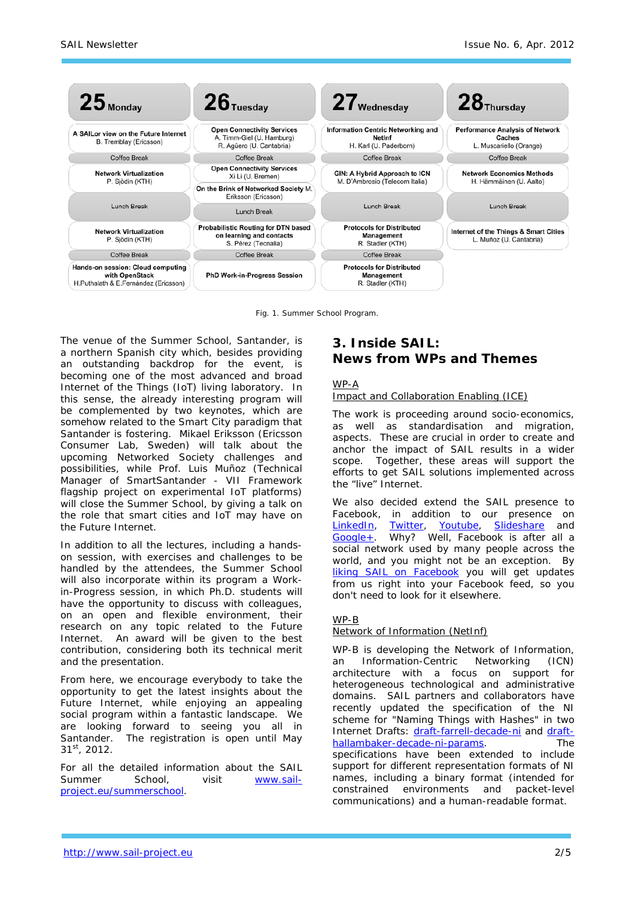

Fig. 1. Summer School Program.

The venue of the Summer School, Santander, is a northern Spanish city which, besides providing an outstanding backdrop for the event, is becoming one of the most advanced and broad Internet of the Things (IoT) living laboratory. In this sense, the already interesting program will be complemented by two keynotes, which are somehow related to the Smart City paradigm that Santander is fostering. Mikael Eriksson (Ericsson Consumer Lab, Sweden) will talk about the upcoming Networked Society challenges and possibilities, while Prof. Luis Muñoz (Technical Manager of SmartSantander - VII Framework flagship project on experimental IoT platforms) will close the Summer School, by giving a talk on the role that smart cities and IoT may have on the Future Internet.

In addition to all the lectures, including a handson session, with exercises and challenges to be handled by the attendees, the Summer School will also incorporate within its program a Workin-Progress session, in which Ph.D. students will have the opportunity to discuss with colleagues, on an open and flexible environment, their research on any topic related to the Future Internet. An award will be given to the best contribution, considering both its technical merit and the presentation.

From here, we encourage everybody to take the opportunity to get the latest insights about the Future Internet, while enjoying an appealing social program within a fantastic landscape. We are looking forward to seeing you all in Santander. The registration is open until May 31st, 2012.

For all the detailed information about the SAIL Summer School, visit www.sailproject.eu/summerschool.

## *3. Inside SAIL: News from WPs and Themes*

#### *WP-A*

#### *Impact and Collaboration Enabling (ICE)*

The work is proceeding around socio-economics, as well as standardisation and migration, aspects. These are crucial in order to create and anchor the impact of SAIL results in a wider scope. Together, these areas will support the efforts to get SAIL solutions implemented across the "live" Internet.

We also decided extend the SAIL presence to Facebook, in addition to our presence on LinkedIn, Twitter, Youtube, Slideshare and Google+. Why? Well, Facebook is after all a social network used by many people across the world, and you might not be an exception. By liking SAIL on Facebook you will get updates from us right into your Facebook feed, so you don't need to look for it elsewhere.

#### *WP-B*

#### *Network of Information (NetInf)*

WP-B is developing the Network of Information, an Information-Centric Networking (ICN) architecture with a focus on support for heterogeneous technological and administrative domains. SAIL partners and collaborators have recently updated the specification of the NI scheme for "Naming Things with Hashes" in two Internet Drafts: draft-farrell-decade-ni and drafthallambaker-decade-ni-params. The specifications have been extended to include support for different representation formats of NI names, including a binary format (intended for constrained environments and packet-level communications) and a human-readable format.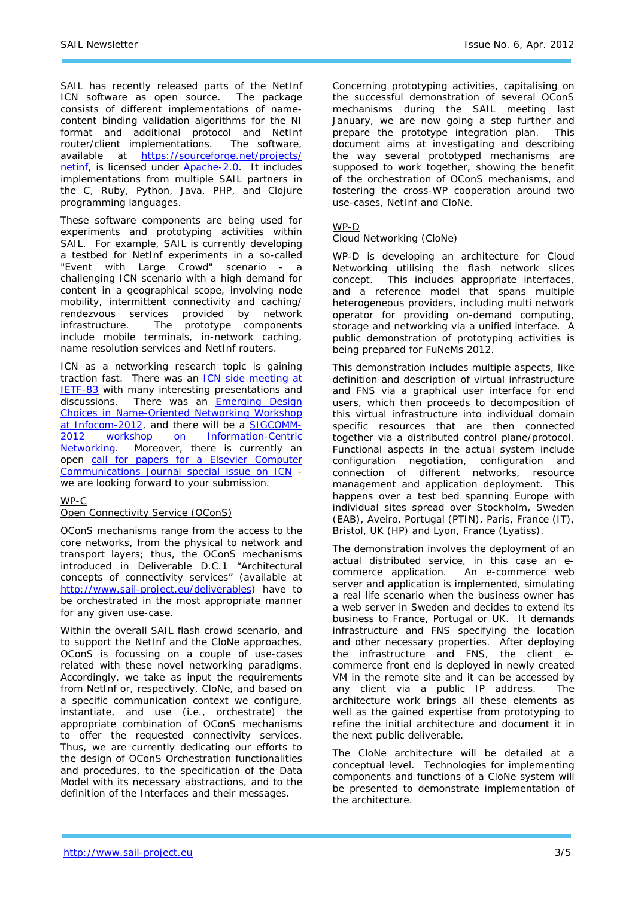SAIL has recently released parts of the NetInf ICN software as open source. The package consists of different implementations of namecontent binding validation algorithms for the NI format and additional protocol and NetInf router/client implementations. The software, available at https://sourceforge.net/projects/ netinf, is licensed under Apache-2.0. It includes implementations from multiple SAIL partners in the C, Ruby, Python, Java, PHP, and Clojure programming languages.

These software components are being used for experiments and prototyping activities within SAIL. For example, SAIL is currently developing a testbed for NetInf experiments in a so-called "Event with Large Crowd" scenario - a challenging ICN scenario with a high demand for content in a geographical scope, involving node mobility, intermittent connectivity and caching/ rendezvous services provided by network infrastructure. The prototype components include mobile terminals, in-network caching, name resolution services and NetInf routers.

ICN as a networking research topic is gaining traction fast. There was an ICN side meeting at **IETF-83** with many interesting presentations and discussions. There was an **Emerging Design** Choices in Name-Oriented Networking Workshop at Infocom-2012, and there will be a SIGCOMM-2012 workshop on Information-Centric Networking. Moreover, there is currently an open call for papers for a Elsevier Computer Communications Journal special issue on ICN we are looking forward to your submission.

#### *WP-C*

#### *Open Connectivity Service (OConS)*

OConS mechanisms range from the access to the core networks, from the physical to network and transport layers; thus, the OConS mechanisms introduced in Deliverable D.C.1 "Architectural concepts of connectivity services" (available at http://www.sail-project.eu/deliverables) have to be orchestrated in the most appropriate manner for any given use-case.

Within the overall SAIL flash crowd scenario, and to support the NetInf and the CloNe approaches, OConS is focussing on a couple of use-cases related with these novel networking paradigms. Accordingly, we take as input the requirements from NetInf or, respectively, CloNe, and based on a specific communication context we configure. instantiate, and use (i.e., orchestrate) the appropriate combination of OConS mechanisms to offer the requested connectivity services. Thus, we are currently dedicating our efforts to the design of OConS Orchestration functionalities and procedures, to the specification of the Data Model with its necessary abstractions, and to the definition of the Interfaces and their messages.

Concerning prototyping activities, capitalising on the successful demonstration of several OConS mechanisms during the SAIL meeting last January, we are now going a step further and prepare the prototype integration plan. This document aims at investigating and describing the way several prototyped mechanisms are supposed to work together, showing the benefit of the orchestration of OConS mechanisms, and fostering the cross-WP cooperation around two use-cases, NetInf and CloNe.

#### *WP-D*

#### *Cloud Networking (CloNe)*

WP-D is developing an architecture for Cloud Networking utilising the flash network slices concept. This includes appropriate interfaces, and a reference model that spans multiple heterogeneous providers, including multi network operator for providing on-demand computing, storage and networking via a unified interface. A public demonstration of prototyping activities is being prepared for FuNeMs 2012.

This demonstration includes multiple aspects, like definition and description of virtual infrastructure and FNS via a graphical user interface for end users, which then proceeds to decomposition of this virtual infrastructure into individual domain specific resources that are then connected together via a distributed control plane/protocol. Functional aspects in the actual system include configuration negotiation, configuration and connection of different networks, resource management and application deployment. This happens over a test bed spanning Europe with individual sites spread over Stockholm, Sweden (EAB), Aveiro, Portugal (PTIN), Paris, France (IT), Bristol, UK (HP) and Lyon, France (Lyatiss).

The demonstration involves the deployment of an actual distributed service, in this case an ecommerce application. An e-commerce web server and application is implemented, simulating a real life scenario when the business owner has a web server in Sweden and decides to extend its business to France, Portugal or UK. It demands infrastructure and FNS specifying the location and other necessary properties. After deploying the infrastructure and FNS, the client ecommerce front end is deployed in newly created VM in the remote site and it can be accessed by any client via a public IP address. The architecture work brings all these elements as well as the gained expertise from prototyping to refine the initial architecture and document it in the next public deliverable.

The CloNe architecture will be detailed at a conceptual level. Technologies for implementing components and functions of a CloNe system will be presented to demonstrate implementation of the architecture.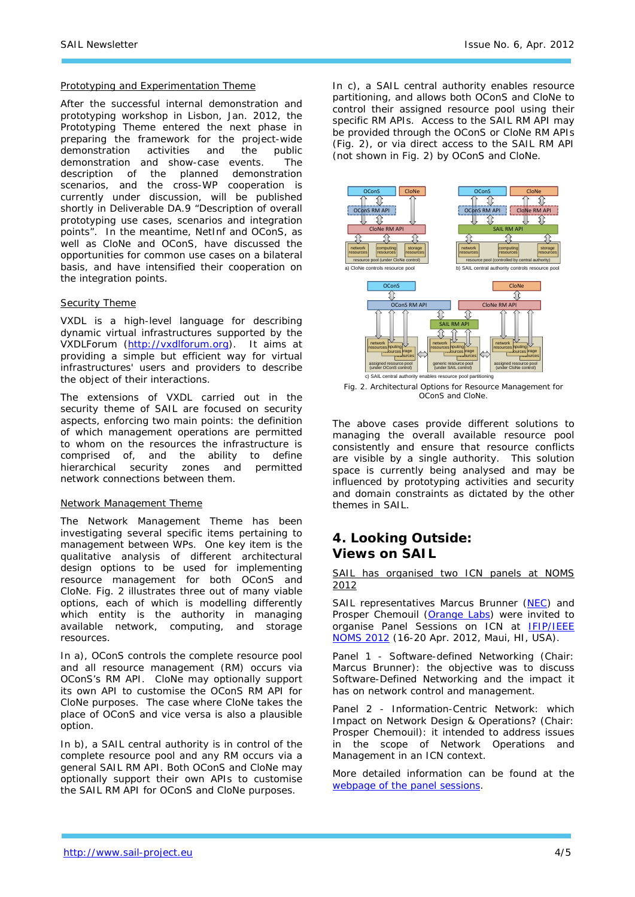#### *Prototyping and Experimentation Theme*

After the successful internal demonstration and prototyping workshop in Lisbon, Jan. 2012, the Prototyping Theme entered the next phase in preparing the framework for the project-wide<br>demonstration activities and the public demonstration activities and the demonstration and show-case events. The description of the planned demonstration scenarios, and the cross-WP cooperation is currently under discussion, will be published shortly in Deliverable DA.9 "Description of overall prototyping use cases, scenarios and integration points". In the meantime, NetInf and OConS, as well as CloNe and OConS, have discussed the opportunities for common use cases on a bilateral basis, and have intensified their cooperation on the integration points.

#### *Security Theme*

VXDL is a high-level language for describing dynamic virtual infrastructures supported by the VXDLForum (http://vxdlforum.org). It aims at providing a simple but efficient way for virtual infrastructures' users and providers to describe the object of their interactions.

The extensions of VXDL carried out in the security theme of SAIL are focused on security aspects, enforcing two main points: the definition of which management operations are permitted to whom on the resources the infrastructure is comprised of, and the ability to define hierarchical security zones and permitted network connections between them.

#### *Network Management Theme*

The Network Management Theme has been investigating several specific items pertaining to management between WPs. One key item is the qualitative analysis of different architectural design options to be used for implementing resource management for both OConS and CloNe. Fig. 2 illustrates three out of many viable options, each of which is modelling differently which entity is the authority in managing available network, computing, and storage resources.

In a), OConS controls the complete resource pool and all resource management (RM) occurs via OConS's RM API. CloNe may optionally support its own API to customise the OConS RM API for CloNe purposes. The case where CloNe takes the place of OConS and vice versa is also a plausible option.

In b), a SAIL central authority is in control of the complete resource pool and any RM occurs via a general SAIL RM API. Both OConS and CloNe may optionally support their own APIs to customise the SAIL RM API for OConS and CloNe purposes.

In c), a SAIL central authority enables resource partitioning, and allows both OConS and CloNe to control their assigned resource pool using their specific RM APIs. Access to the SAIL RM API may be provided through the OConS or CloNe RM APIs (Fig. 2), or via direct access to the SAIL RM API (not shown in Fig. 2) by OConS and CloNe.



Fig. 2. Architectural Options for Resource Management for OConS and CloNe.

The above cases provide different solutions to managing the overall available resource pool consistently and ensure that resource conflicts are visible by a single authority. This solution space is currently being analysed and may be influenced by prototyping activities and security and domain constraints as dictated by the other themes in SAIL.

### *4. Looking Outside: Views on SAIL*

SAIL has organised two ICN panels at NOMS 2012

SAIL representatives Marcus Brunner (NEC) and Prosper Chemouil (Orange Labs) were invited to organise Panel Sessions on ICN at IFIP/IEEE NOMS 2012 (16-20 Apr. 2012, Maui, HI, USA).

Panel 1 - *Software-defined Networking* (Chair: Marcus Brunner): the objective was to discuss Software-Defined Networking and the impact it has on network control and management.

Panel 2 - *Information-Centric Network: which Impact on Network Design & Operations?* (Chair: Prosper Chemouil): it intended to address issues in the scope of Network Operations and Management in an ICN context.

More detailed information can be found at the webpage of the panel sessions.